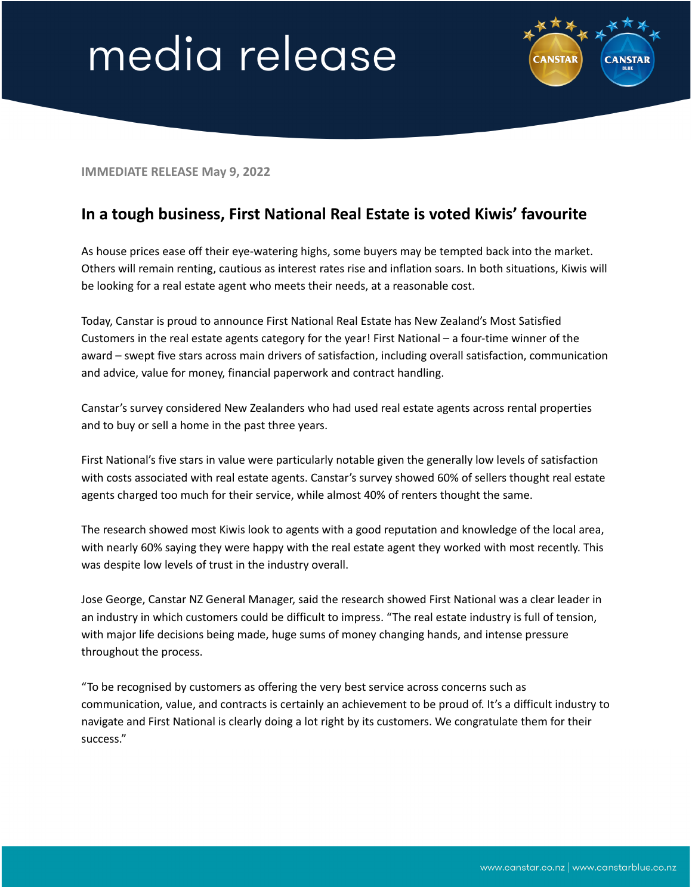## media release



**IMMEDIATE RELEASE May 9, 2022**

## **In a tough business, First National Real Estate is voted Kiwis' favourite**

As house prices ease off their eye-watering highs, some buyers may be tempted back into the market. Others will remain renting, cautious as interest rates rise and inflation soars. In both situations, Kiwis will be looking for a real estate agent who meets their needs, at a reasonable cost.

Today, Canstar is proud to announce First National Real Estate has New Zealand's Most Satisfied Customers in the real estate agents category for the year! First National – a four-time winner of the award – swept five stars across main drivers of satisfaction, including overall satisfaction, communication and advice, value for money, financial paperwork and contract handling.

Canstar's survey considered New Zealanders who had used real estate agents across rental properties and to buy or sell a home in the past three years.

First National's five stars in value were particularly notable given the generally low levels of satisfaction with costs associated with real estate agents. Canstar's survey showed 60% of sellers thought real estate agents charged too much for their service, while almost 40% of renters thought the same.

The research showed most Kiwis look to agents with a good reputation and knowledge of the local area, with nearly 60% saying they were happy with the real estate agent they worked with most recently. This was despite low levels of trust in the industry overall.

Jose George, Canstar NZ General Manager, said the research showed First National was a clear leader in an industry in which customers could be difficult to impress. "The real estate industry is full of tension, with major life decisions being made, huge sums of money changing hands, and intense pressure throughout the process.

"To be recognised by customers as offering the very best service across concerns such as communication, value, and contracts is certainly an achievement to be proud of. It's a difficult industry to navigate and First National is clearly doing a lot right by its customers. We congratulate them for their success."